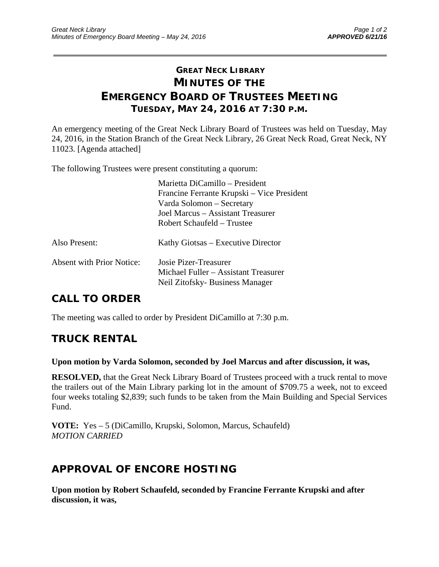# **GREAT NECK LIBRARY MINUTES OF THE EMERGENCY BOARD OF TRUSTEES MEETING TUESDAY, MAY 24, 2016 AT 7:30 P.M.**

\_\_\_\_\_\_\_\_\_\_\_\_\_\_\_\_\_\_\_\_\_\_\_\_\_\_\_\_\_\_\_\_\_\_\_\_\_\_\_\_\_\_\_\_\_\_\_\_\_\_\_\_\_\_\_\_\_\_\_\_\_\_\_\_\_\_\_\_\_\_\_\_\_\_\_\_\_\_\_\_\_\_\_\_\_\_\_\_\_\_\_\_\_

An emergency meeting of the Great Neck Library Board of Trustees was held on Tuesday, May 24, 2016, in the Station Branch of the Great Neck Library, 26 Great Neck Road, Great Neck, NY 11023. [Agenda attached]

The following Trustees were present constituting a quorum:

|                                  | Marietta DiCamillo – President<br>Francine Ferrante Krupski – Vice President<br>Varda Solomon – Secretary<br>Joel Marcus – Assistant Treasurer<br>Robert Schaufeld – Trustee |
|----------------------------------|------------------------------------------------------------------------------------------------------------------------------------------------------------------------------|
| Also Present:                    | Kathy Giotsas – Executive Director                                                                                                                                           |
| <b>Absent with Prior Notice:</b> | Josie Pizer-Treasurer<br>Michael Fuller – Assistant Treasurer<br>Neil Zitofsky- Business Manager                                                                             |

# **CALL TO ORDER**

The meeting was called to order by President DiCamillo at 7:30 p.m.

### **TRUCK RENTAL**

#### **Upon motion by Varda Solomon, seconded by Joel Marcus and after discussion, it was,**

**RESOLVED,** that the Great Neck Library Board of Trustees proceed with a truck rental to move the trailers out of the Main Library parking lot in the amount of \$709.75 a week, not to exceed four weeks totaling \$2,839; such funds to be taken from the Main Building and Special Services Fund.

**VOTE:** Yes – 5 (DiCamillo, Krupski, Solomon, Marcus, Schaufeld) *MOTION CARRIED* 

# **APPROVAL OF ENCORE HOSTING**

**Upon motion by Robert Schaufeld, seconded by Francine Ferrante Krupski and after discussion, it was,**